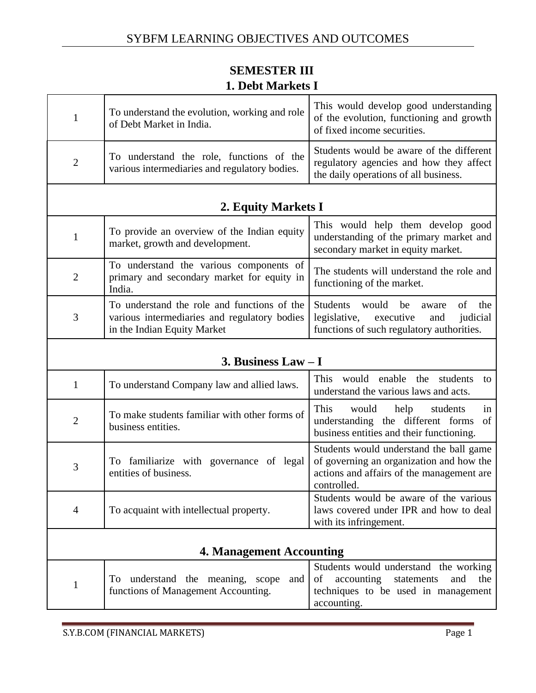## **SEMESTER III 1. Debt Markets I**

|   | To understand the evolution, working and role<br>of Debt Market in India.                 | This would develop good understanding<br>of the evolution, functioning and growth<br>of fixed income securities.             |
|---|-------------------------------------------------------------------------------------------|------------------------------------------------------------------------------------------------------------------------------|
| 2 | To understand the role, functions of the<br>various intermediaries and regulatory bodies. | Students would be aware of the different<br>regulatory agencies and how they affect<br>the daily operations of all business. |
|   |                                                                                           |                                                                                                                              |

#### **2. Equity Markets I**

| $\mathbf{1}$ | To provide an overview of the Indian equity<br>market, growth and development.                                                      | This would help them develop good<br>understanding of the primary market and<br>secondary market in equity market.    |
|--------------|-------------------------------------------------------------------------------------------------------------------------------------|-----------------------------------------------------------------------------------------------------------------------|
| 2            | To understand the various components of<br>primary and secondary market for equity in<br>India.                                     | The students will understand the role and<br>functioning of the market.                                               |
| 3            | To understand the role and functions of the Students<br>various intermediaries and regulatory bodies<br>in the Indian Equity Market | would<br>be<br>the<br>aware<br>ОŤ<br>legislative, executive and judicial<br>functions of such regulatory authorities. |

#### **3. Business Law – I**

| $\mathbf{1}$   | To understand Company law and allied laws.                          | would enable the students<br><b>This</b><br>to<br>understand the various laws and acts.                                                         |
|----------------|---------------------------------------------------------------------|-------------------------------------------------------------------------------------------------------------------------------------------------|
| $\overline{2}$ | To make students familiar with other forms of<br>business entities. | <b>This</b><br>help<br>students<br>would<br>1n<br>understanding the different forms<br>of<br>business entities and their functioning.           |
| 3              | To familiarize with governance of legal<br>entities of business.    | Students would understand the ball game<br>of governing an organization and how the<br>actions and affairs of the management are<br>controlled. |
| 4              | To acquaint with intellectual property.                             | Students would be aware of the various<br>laws covered under IPR and how to deal<br>with its infringement.                                      |

#### **4. Management Accounting**

|                                                                   | Students would understand the working |
|-------------------------------------------------------------------|---------------------------------------|
| To understand the meaning, scope and of accounting statements and | the                                   |
| functions of Management Accounting.                               | techniques to be used in management   |
|                                                                   | accounting.                           |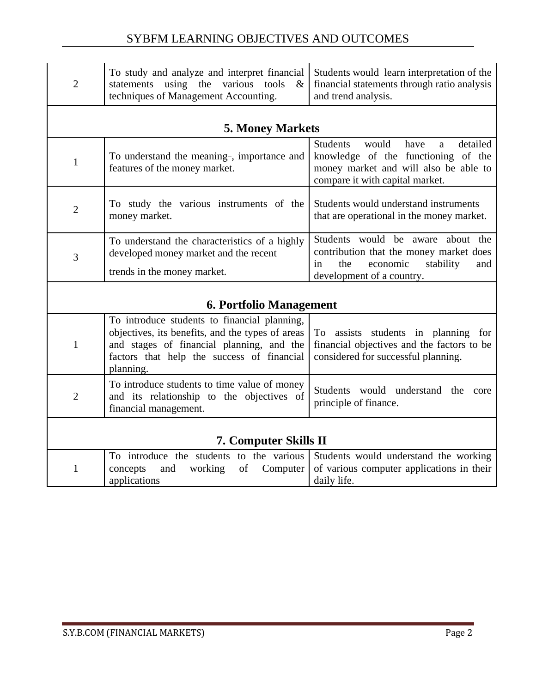#### SYBFM LEARNING OBJECTIVES AND OUTCOMES

| $\overline{2}$                 | To study and analyze and interpret financial<br>using the<br>various<br>tools<br>statements<br>$\&$<br>techniques of Management Accounting.                                                              | Students would learn interpretation of the<br>financial statements through ratio analysis<br>and trend analysis.                                                                |
|--------------------------------|----------------------------------------------------------------------------------------------------------------------------------------------------------------------------------------------------------|---------------------------------------------------------------------------------------------------------------------------------------------------------------------------------|
|                                | <b>5. Money Markets</b>                                                                                                                                                                                  |                                                                                                                                                                                 |
| $\mathbf{1}$                   | To understand the meaning-, importance and<br>features of the money market.                                                                                                                              | detailed<br><b>Students</b><br>would<br>have<br>$\mathbf{a}$<br>knowledge of the functioning of the<br>money market and will also be able to<br>compare it with capital market. |
| $\overline{2}$                 | To study the various instruments of the<br>money market.                                                                                                                                                 | Students would understand instruments<br>that are operational in the money market.                                                                                              |
| 3                              | To understand the characteristics of a highly<br>developed money market and the recent<br>trends in the money market.                                                                                    | Students would be aware<br>about the<br>contribution that the money market does<br>the<br>economic<br>stability<br>and<br>in<br>development of a country.                       |
| <b>6. Portfolio Management</b> |                                                                                                                                                                                                          |                                                                                                                                                                                 |
| 1                              | To introduce students to financial planning,<br>objectives, its benefits, and the types of areas<br>and stages of financial planning, and the<br>factors that help the success of financial<br>planning. | To assists students in planning for<br>financial objectives and the factors to be<br>considered for successful planning.                                                        |
| $\overline{2}$                 | To introduce students to time value of money<br>and its relationship to the objectives of<br>financial management.                                                                                       | Students would understand the<br>core<br>principle of finance.                                                                                                                  |
| <b>7. Computer Skills II</b>   |                                                                                                                                                                                                          |                                                                                                                                                                                 |
| $\mathbf{1}$                   | To introduce the students to the various<br>concepts<br>working<br>of<br>Computer<br>and<br>applications                                                                                                 | Students would understand the working<br>of various computer applications in their<br>daily life.                                                                               |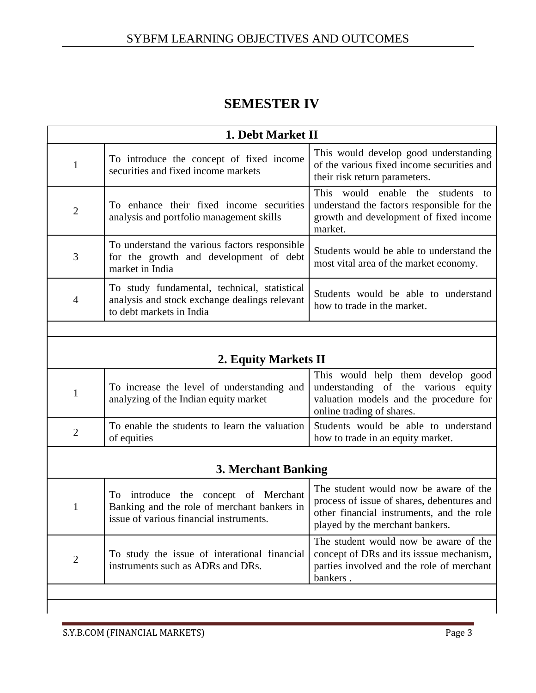## **SEMESTER IV**

| 1. Debt Market II |                                                                                                                                |                                                                                                                                                                     |
|-------------------|--------------------------------------------------------------------------------------------------------------------------------|---------------------------------------------------------------------------------------------------------------------------------------------------------------------|
| $\mathbf{1}$      | To introduce the concept of fixed income<br>securities and fixed income markets                                                | This would develop good understanding<br>of the various fixed income securities and<br>their risk return parameters.                                                |
| $\overline{2}$    | To enhance their fixed income securities<br>analysis and portfolio management skills                                           | This would enable the<br>students<br>to<br>understand the factors responsible for the<br>growth and development of fixed income<br>market.                          |
| 3                 | To understand the various factors responsible<br>for the growth and development of debt<br>market in India                     | Students would be able to understand the<br>most vital area of the market economy.                                                                                  |
| $\overline{4}$    | To study fundamental, technical, statistical<br>analysis and stock exchange dealings relevant<br>to debt markets in India      | Students would be able to understand<br>how to trade in the market.                                                                                                 |
|                   |                                                                                                                                |                                                                                                                                                                     |
|                   | 2. Equity Markets II                                                                                                           |                                                                                                                                                                     |
| 1                 | To increase the level of understanding and<br>analyzing of the Indian equity market                                            | This would help them develop good<br>understanding of the various equity<br>valuation models and the procedure for<br>online trading of shares.                     |
| $\overline{2}$    | To enable the students to learn the valuation<br>of equities                                                                   | Students would be able to understand<br>how to trade in an equity market.                                                                                           |
|                   |                                                                                                                                |                                                                                                                                                                     |
|                   | <b>3. Merchant Banking</b>                                                                                                     |                                                                                                                                                                     |
| 1                 | To introduce the concept of Merchant<br>Banking and the role of merchant bankers in<br>issue of various financial instruments. | The student would now be aware of the<br>process of issue of shares, debentures and<br>other financial instruments, and the role<br>played by the merchant bankers. |
| $\overline{2}$    | To study the issue of interational financial<br>instruments such as ADRs and DRs.                                              | The student would now be aware of the<br>concept of DRs and its isssue mechanism,<br>parties involved and the role of merchant<br>bankers.                          |
|                   |                                                                                                                                |                                                                                                                                                                     |